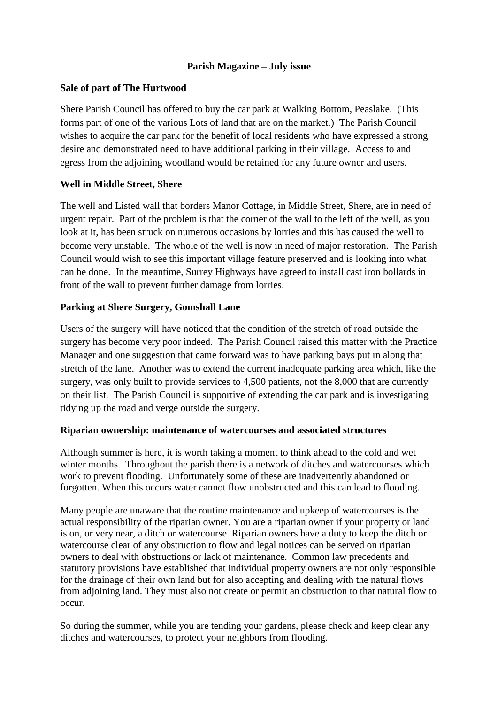## **Parish Magazine – July issue**

## **Sale of part of The Hurtwood**

Shere Parish Council has offered to buy the car park at Walking Bottom, Peaslake. (This forms part of one of the various Lots of land that are on the market.) The Parish Council wishes to acquire the car park for the benefit of local residents who have expressed a strong desire and demonstrated need to have additional parking in their village. Access to and egress from the adjoining woodland would be retained for any future owner and users.

# **Well in Middle Street, Shere**

The well and Listed wall that borders Manor Cottage, in Middle Street, Shere, are in need of urgent repair. Part of the problem is that the corner of the wall to the left of the well, as you look at it, has been struck on numerous occasions by lorries and this has caused the well to become very unstable. The whole of the well is now in need of major restoration. The Parish Council would wish to see this important village feature preserved and is looking into what can be done. In the meantime, Surrey Highways have agreed to install cast iron bollards in front of the wall to prevent further damage from lorries.

# **Parking at Shere Surgery, Gomshall Lane**

Users of the surgery will have noticed that the condition of the stretch of road outside the surgery has become very poor indeed. The Parish Council raised this matter with the Practice Manager and one suggestion that came forward was to have parking bays put in along that stretch of the lane. Another was to extend the current inadequate parking area which, like the surgery, was only built to provide services to 4,500 patients, not the 8,000 that are currently on their list. The Parish Council is supportive of extending the car park and is investigating tidying up the road and verge outside the surgery.

## **Riparian ownership: maintenance of watercourses and associated structures**

Although summer is here, it is worth taking a moment to think ahead to the cold and wet winter months. Throughout the parish there is a network of ditches and watercourses which work to prevent flooding. Unfortunately some of these are inadvertently abandoned or forgotten. When this occurs water cannot flow unobstructed and this can lead to flooding.

Many people are unaware that the routine maintenance and upkeep of watercourses is the actual responsibility of the riparian owner. You are a riparian owner if your property or land is on, or very near, a ditch or watercourse. Riparian owners have a duty to keep the ditch or watercourse clear of any obstruction to flow and legal notices can be served on riparian owners to deal with obstructions or lack of maintenance. Common law precedents and statutory provisions have established that individual property owners are not only responsible for the drainage of their own land but for also accepting and dealing with the natural flows from adjoining land. They must also not create or permit an obstruction to that natural flow to occur.

So during the summer, while you are tending your gardens, please check and keep clear any ditches and watercourses, to protect your neighbors from flooding.